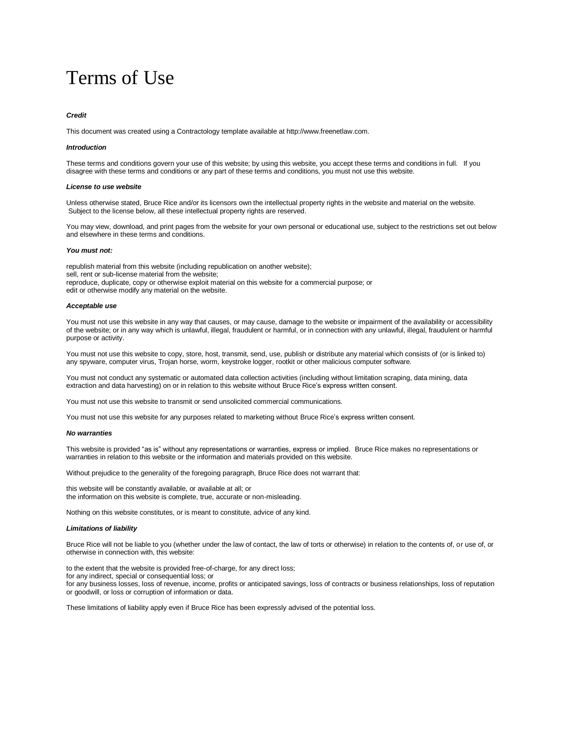# Terms of Use

## *Credit*

This document was created using a Contractology template available at http://www.freenetlaw.com.

## *Introduction*

These terms and conditions govern your use of this website; by using this website, you accept these terms and conditions in full. If you disagree with these terms and conditions or any part of these terms and conditions, you must not use this website.

# *License to use website*

Unless otherwise stated, Bruce Rice and/or its licensors own the intellectual property rights in the website and material on the website. Subject to the license below, all these intellectual property rights are reserved.

You may view, download, and print pages from the website for your own personal or educational use, subject to the restrictions set out below and elsewhere in these terms and conditions.

#### *You must not:*

republish material from this website (including republication on another website); sell, rent or sub-license material from the website; reproduce, duplicate, copy or otherwise exploit material on this website for a commercial purpose; or edit or otherwise modify any material on the website.

#### *Acceptable use*

You must not use this website in any way that causes, or may cause, damage to the website or impairment of the availability or accessibility of the website; or in any way which is unlawful, illegal, fraudulent or harmful, or in connection with any unlawful, illegal, fraudulent or harmful purpose or activity.

You must not use this website to copy, store, host, transmit, send, use, publish or distribute any material which consists of (or is linked to) any spyware, computer virus, Trojan horse, worm, keystroke logger, rootkit or other malicious computer software.

You must not conduct any systematic or automated data collection activities (including without limitation scraping, data mining, data extraction and data harvesting) on or in relation to this website without Bruce Rice's express written consent.

You must not use this website to transmit or send unsolicited commercial communications.

You must not use this website for any purposes related to marketing without Bruce Rice's express written consent.

## *No warranties*

This website is provided "as is" without any representations or warranties, express or implied. Bruce Rice makes no representations or warranties in relation to this website or the information and materials provided on this website.

Without prejudice to the generality of the foregoing paragraph, Bruce Rice does not warrant that:

this website will be constantly available, or available at all; or the information on this website is complete, true, accurate or non-misleading.

Nothing on this website constitutes, or is meant to constitute, advice of any kind.

#### *Limitations of liability*

Bruce Rice will not be liable to you (whether under the law of contact, the law of torts or otherwise) in relation to the contents of, or use of, or otherwise in connection with, this website:

to the extent that the website is provided free-of-charge, for any direct loss; for any indirect, special or consequential loss; or for any business losses, loss of revenue, income, profits or anticipated savings, loss of contracts or business relationships, loss of reputation or goodwill, or loss or corruption of information or data.

These limitations of liability apply even if Bruce Rice has been expressly advised of the potential loss.